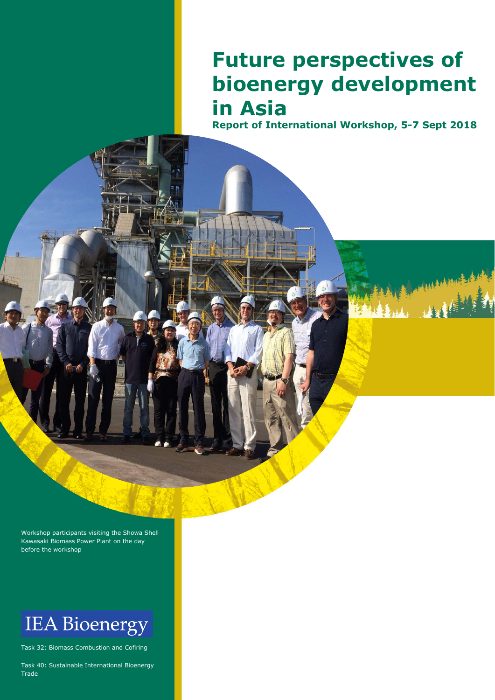# **Future perspectives of bioenergy development in Asia**

**Report of International Workshop, 5-7 Sept 2018**

Workshop participants visiting the Showa Shell Kawasaki Biomass Power Plant on the day before the workshop

# **IEA Bioenergy**

Task 32: Biomass Combustion and Cofiring

Task 40: Sustainable International Bioenergy Trade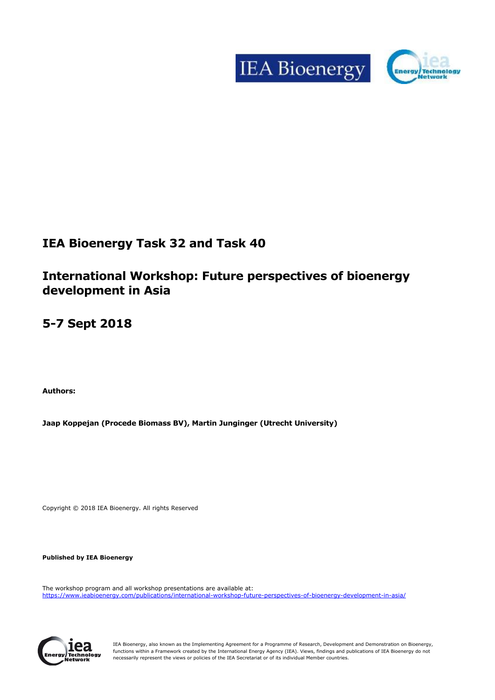



## **IEA Bioenergy Task 32 and Task 40**

## **International Workshop: Future perspectives of bioenergy development in Asia**

## **5-7 Sept 2018**

**Authors:**

**Jaap Koppejan (Procede Biomass BV), Martin Junginger (Utrecht University)**

Copyright © 2018 IEA Bioenergy. All rights Reserved

**Published by IEA Bioenergy**

The workshop program and all workshop presentations are available at: <https://www.ieabioenergy.com/publications/international-workshop-future-perspectives-of-bioenergy-development-in-asia/>



IEA Bioenergy, also known as the Implementing Agreement for a Programme of Research, Development and Demonstration on Bioenergy, functions within a Framework created by the International Energy Agency (IEA). Views, findings and publications of IEA Bioenergy do not necessarily represent the views or policies of the IEA Secretariat or of its individual Member countries.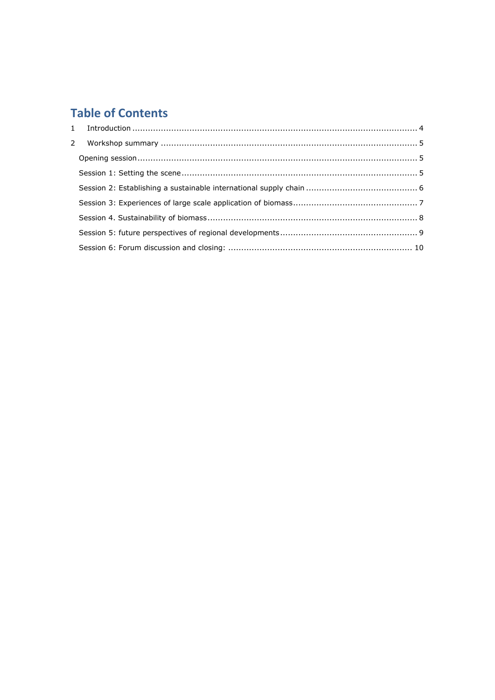## **Table of Contents**

| 2 |  |
|---|--|
|   |  |
|   |  |
|   |  |
|   |  |
|   |  |
|   |  |
|   |  |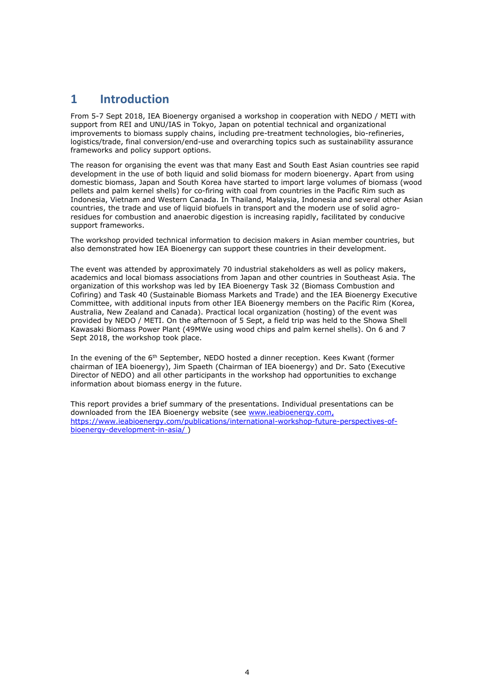## <span id="page-3-0"></span>**1 Introduction**

From 5-7 Sept 2018, IEA Bioenergy organised a workshop in cooperation with NEDO / METI with support from REI and UNU/IAS in Tokyo, Japan on potential technical and organizational improvements to biomass supply chains, including pre-treatment technologies, bio-refineries, logistics/trade, final conversion/end-use and overarching topics such as sustainability assurance frameworks and policy support options.

The reason for organising the event was that many East and South East Asian countries see rapid development in the use of both liquid and solid biomass for modern bioenergy. Apart from using domestic biomass, Japan and South Korea have started to import large volumes of biomass (wood pellets and palm kernel shells) for co-firing with coal from countries in the Pacific Rim such as Indonesia, Vietnam and Western Canada. In Thailand, Malaysia, Indonesia and several other Asian countries, the trade and use of liquid biofuels in transport and the modern use of solid agroresidues for combustion and anaerobic digestion is increasing rapidly, facilitated by conducive support frameworks.

The workshop provided technical information to decision makers in Asian member countries, but also demonstrated how IEA Bioenergy can support these countries in their development.

The event was attended by approximately 70 industrial stakeholders as well as policy makers, academics and local biomass associations from Japan and other countries in Southeast Asia. The organization of this workshop was led by IEA Bioenergy Task 32 (Biomass Combustion and Cofiring) and Task 40 (Sustainable Biomass Markets and Trade) and the IEA Bioenergy Executive Committee, with additional inputs from other IEA Bioenergy members on the Pacific Rim (Korea, Australia, New Zealand and Canada). Practical local organization (hosting) of the event was provided by NEDO / METI. On the afternoon of 5 Sept, a field trip was held to the Showa Shell Kawasaki Biomass Power Plant (49MWe using wood chips and palm kernel shells). On 6 and 7 Sept 2018, the workshop took place.

In the evening of the 6<sup>th</sup> September, NEDO hosted a dinner reception. Kees Kwant (former chairman of IEA bioenergy), Jim Spaeth (Chairman of IEA bioenergy) and Dr. Sato (Executive Director of NEDO) and all other participants in the workshop had opportunities to exchange information about biomass energy in the future.

This report provides a brief summary of the presentations. Individual presentations can be downloaded from the IEA Bioenergy website (see [www.ieabioenergy.com,](http://www.ieabioenergy.com/) [https://www.ieabioenergy.com/publications/international-workshop-future-perspectives-of](https://www.ieabioenergy.com/publications/international-workshop-future-perspectives-of-bioenergy-development-in-asia/)[bioenergy-development-in-asia/](https://www.ieabioenergy.com/publications/international-workshop-future-perspectives-of-bioenergy-development-in-asia/) )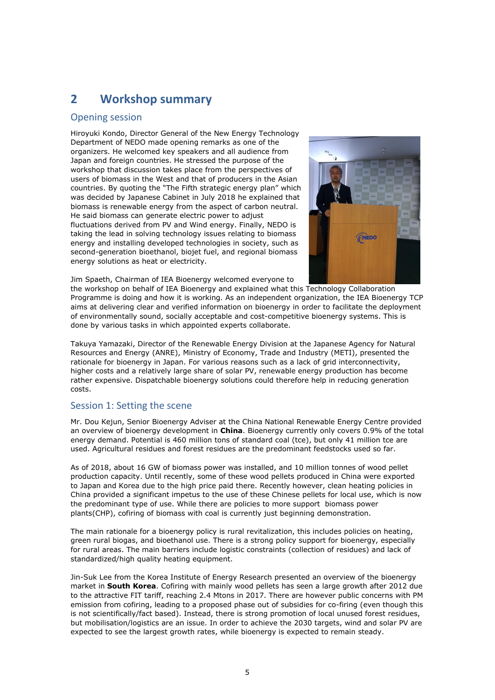## <span id="page-4-0"></span>**2 Workshop summary**

#### <span id="page-4-1"></span>Opening session

Hiroyuki Kondo, Director General of the New Energy Technology Department of NEDO made opening remarks as one of the organizers. He welcomed key speakers and all audience from Japan and foreign countries. He stressed the purpose of the workshop that discussion takes place from the perspectives of users of biomass in the West and that of producers in the Asian countries. By quoting the "The Fifth strategic energy plan" which was decided by Japanese Cabinet in July 2018 he explained that biomass is renewable energy from the aspect of carbon neutral. He said biomass can generate electric power to adjust fluctuations derived from PV and Wind energy. Finally, NEDO is taking the lead in solving technology issues relating to biomass energy and installing developed technologies in society, such as second-generation bioethanol, biojet fuel, and regional biomass energy solutions as heat or electricity.



Jim Spaeth, Chairman of IEA Bioenergy welcomed everyone to

the workshop on behalf of IEA Bioenergy and explained what this Technology Collaboration Programme is doing and how it is working. As an independent organization, the IEA Bioenergy TCP aims at delivering clear and verified information on bioenergy in order to facilitate the deployment of environmentally sound, socially acceptable and cost-competitive bioenergy systems. This is done by various tasks in which appointed experts collaborate.

Takuya Yamazaki, Director of the Renewable Energy Division at the Japanese Agency for Natural Resources and Energy (ANRE), Ministry of Economy, Trade and Industry (METI), presented the rationale for bioenergy in Japan. For various reasons such as a lack of grid interconnectivity, higher costs and a relatively large share of solar PV, renewable energy production has become rather expensive. Dispatchable bioenergy solutions could therefore help in reducing generation costs.

### <span id="page-4-2"></span>Session 1: Setting the scene

Mr. Dou Kejun, Senior Bioenergy Adviser at the China National Renewable Energy Centre provided an overview of bioenergy development in **China**. Bioenergy currently only covers 0.9% of the total energy demand. Potential is 460 million tons of standard coal (tce), but only 41 million tce are used. Agricultural residues and forest residues are the predominant feedstocks used so far.

As of 2018, about 16 GW of biomass power was installed, and 10 million tonnes of wood pellet production capacity. Until recently, some of these wood pellets produced in China were exported to Japan and Korea due to the high price paid there. Recently however, clean heating policies in China provided a significant impetus to the use of these Chinese pellets for local use, which is now the predominant type of use. While there are policies to more support biomass power plants(CHP), cofiring of biomass with coal is currently just beginning demonstration.

The main rationale for a bioenergy policy is rural revitalization, this includes policies on heating, green rural biogas, and bioethanol use. There is a strong policy support for bioenergy, especially for rural areas. The main barriers include logistic constraints (collection of residues) and lack of standardized/high quality heating equipment.

Jin-Suk Lee from the Korea Institute of Energy Research presented an overview of the bioenergy market in **South Korea**. Cofiring with mainly wood pellets has seen a large growth after 2012 due to the attractive FIT tariff, reaching 2.4 Mtons in 2017. There are however public concerns with PM emission from cofiring, leading to a proposed phase out of subsidies for co-firing (even though this is not scientifically/fact based). Instead, there is strong promotion of local unused forest residues, but mobilisation/logistics are an issue. In order to achieve the 2030 targets, wind and solar PV are expected to see the largest growth rates, while bioenergy is expected to remain steady.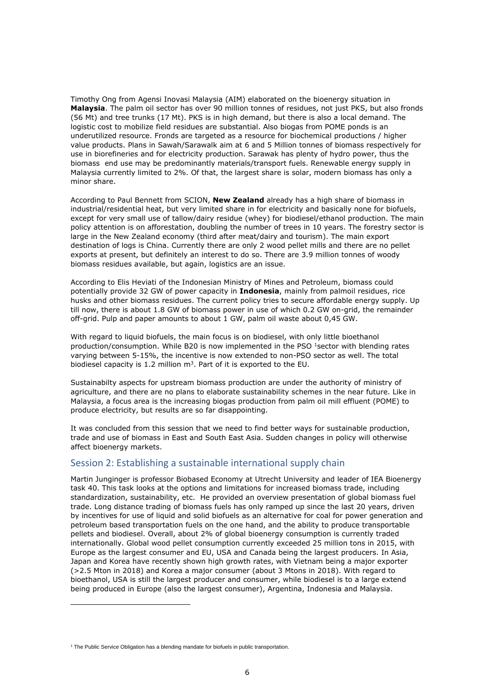Timothy Ong from Agensi Inovasi Malaysia (AIM) elaborated on the bioenergy situation in **Malaysia**. The palm oil sector has over 90 million tonnes of residues, not just PKS, but also fronds (56 Mt) and tree trunks (17 Mt). PKS is in high demand, but there is also a local demand. The logistic cost to mobilize field residues are substantial. Also biogas from POME ponds is an underutilized resource. Fronds are targeted as a resource for biochemical productions / higher value products. Plans in Sawah/Sarawalk aim at 6 and 5 Million tonnes of biomass respectively for use in biorefineries and for electricity production. Sarawak has plenty of hydro power, thus the biomass end use may be predominantly materials/transport fuels. Renewable energy supply in Malaysia currently limited to 2%. Of that, the largest share is solar, modern biomass has only a minor share.

According to Paul Bennett from SCION, **New Zealand** already has a high share of biomass in industrial/residential heat, but very limited share in for electricity and basically none for biofuels, except for very small use of tallow/dairy residue (whey) for biodiesel/ethanol production. The main policy attention is on afforestation, doubling the number of trees in 10 years. The forestry sector is large in the New Zealand economy (third after meat/dairy and tourism). The main export destination of logs is China. Currently there are only 2 wood pellet mills and there are no pellet exports at present, but definitely an interest to do so. There are 3.9 million tonnes of woody biomass residues available, but again, logistics are an issue.

According to Elis Heviati of the Indonesian Ministry of Mines and Petroleum, biomass could potentially provide 32 GW of power capacity in **Indonesia**, mainly from palmoil residues, rice husks and other biomass residues. The current policy tries to secure affordable energy supply. Up till now, there is about 1.8 GW of biomass power in use of which 0.2 GW on-grid, the remainder off-grid. Pulp and paper amounts to about 1 GW, palm oil waste about 0,45 GW.

With regard to liquid biofuels, the main focus is on biodiesel, with only little bioethanol production/consumption. While B20 is now implemented in the PSO <sup>1</sup>sector with blending rates varying between 5-15%, the incentive is now extended to non-PSO sector as well. The total biodiesel capacity is 1.2 million  $m<sup>3</sup>$ . Part of it is exported to the EU.

Sustainabilty aspects for upstream biomass production are under the authority of ministry of agriculture, and there are no plans to elaborate sustainability schemes in the near future. Like in Malaysia, a focus area is the increasing biogas production from palm oil mill effluent (POME) to produce electricity, but results are so far disappointing.

It was concluded from this session that we need to find better ways for sustainable production, trade and use of biomass in East and South East Asia. Sudden changes in policy will otherwise affect bioenergy markets.

#### <span id="page-5-0"></span>Session 2: Establishing a sustainable international supply chain

Martin Junginger is professor Biobased Economy at Utrecht University and leader of IEA Bioenergy task 40. This task looks at the options and limitations for increased biomass trade, including standardization, sustainability, etc. He provided an overview presentation of global biomass fuel trade. Long distance trading of biomass fuels has only ramped up since the last 20 years, driven by incentives for use of liquid and solid biofuels as an alternative for coal for power generation and petroleum based transportation fuels on the one hand, and the ability to produce transportable pellets and biodiesel. Overall, about 2% of global bioenergy consumption is currently traded internationally. Global wood pellet consumption currently exceeded 25 million tons in 2015, with Europe as the largest consumer and EU, USA and Canada being the largest producers. In Asia, Japan and Korea have recently shown high growth rates, with Vietnam being a major exporter (>2.5 Mton in 2018) and Korea a major consumer (about 3 Mtons in 2018). With regard to bioethanol, USA is still the largest producer and consumer, while biodiesel is to a large extend being produced in Europe (also the largest consumer), Argentina, Indonesia and Malaysia.

l

 $1$  The Public Service Obligation has a blending mandate for biofuels in public transportation.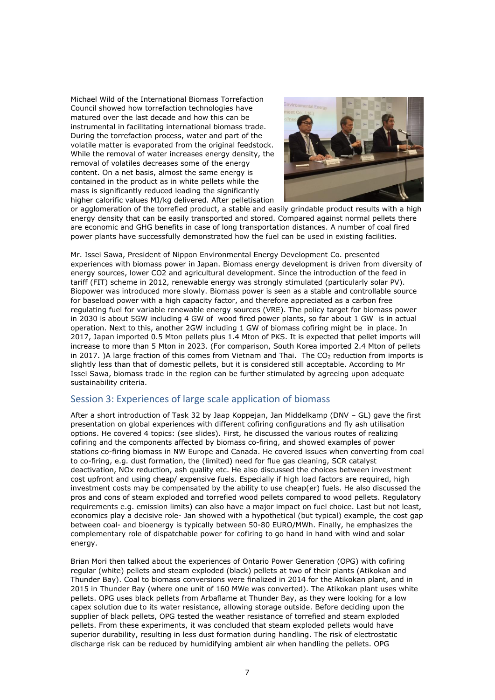Michael Wild of the International Biomass Torrefaction Council showed how torrefaction technologies have matured over the last decade and how this can be instrumental in facilitating international biomass trade. During the torrefaction process, water and part of the volatile matter is evaporated from the original feedstock. While the removal of water increases energy density, the removal of volatiles decreases some of the energy content. On a net basis, almost the same energy is contained in the product as in white pellets while the mass is significantly reduced leading the significantly higher calorific values MJ/kg delivered. After pelletisation



or agglomeration of the torrefied product, a stable and easily grindable product results with a high energy density that can be easily transported and stored. Compared against normal pellets there are economic and GHG benefits in case of long transportation distances. A number of coal fired power plants have successfully demonstrated how the fuel can be used in existing facilities.

Mr. Issei Sawa, President of Nippon Environmental Energy Development Co. presented experiences with biomass power in Japan. Biomass energy development is driven from diversity of energy sources, lower CO2 and agricultural development. Since the introduction of the feed in tariff (FIT) scheme in 2012, renewable energy was strongly stimulated (particularly solar PV). Biopower was introduced more slowly. Biomass power is seen as a stable and controllable source for baseload power with a high capacity factor, and therefore appreciated as a carbon free regulating fuel for variable renewable energy sources (VRE). The policy target for biomass power in 2030 is about 5GW including 4 GW of wood fired power plants, so far about 1 GW is in actual operation. Next to this, another 2GW including 1 GW of biomass cofiring might be in place. In 2017, Japan imported 0.5 Mton pellets plus 1.4 Mton of PKS. It is expected that pellet imports will increase to more than 5 Mton in 2023. (For comparison, South Korea imported 2.4 Mton of pellets in 2017. )A large fraction of this comes from Vietnam and Thai. The  $CO<sub>2</sub>$  reduction from imports is slightly less than that of domestic pellets, but it is considered still acceptable. According to Mr Issei Sawa, biomass trade in the region can be further stimulated by agreeing upon adequate sustainability criteria.

### <span id="page-6-0"></span>Session 3: Experiences of large scale application of biomass

After a short introduction of Task 32 by Jaap Koppejan, Jan Middelkamp (DNV – GL) gave the first presentation on global experiences with different cofiring configurations and fly ash utilisation options. He covered 4 topics: (see slides). First, he discussed the various routes of realizing cofiring and the components affected by biomass co-firing, and showed examples of power stations co-firing biomass in NW Europe and Canada. He covered issues when converting from coal to co-firing, e.g. dust formation, the (limited) need for flue gas cleaning, SCR catalyst deactivation, NOx reduction, ash quality etc. He also discussed the choices between investment cost upfront and using cheap/ expensive fuels. Especially if high load factors are required, high investment costs may be compensated by the ability to use cheap(er) fuels. He also discussed the pros and cons of steam exploded and torrefied wood pellets compared to wood pellets. Regulatory requirements e.g. emission limits) can also have a major impact on fuel choice. Last but not least, economics play a decisive role- Jan showed with a hypothetical (but typical) example, the cost gap between coal- and bioenergy is typically between 50-80 EURO/MWh. Finally, he emphasizes the complementary role of dispatchable power for cofiring to go hand in hand with wind and solar energy.

Brian Mori then talked about the experiences of Ontario Power Generation (OPG) with cofiring regular (white) pellets and steam exploded (black) pellets at two of their plants (Atikokan and Thunder Bay). Coal to biomass conversions were finalized in 2014 for the Atikokan plant, and in 2015 in Thunder Bay (where one unit of 160 MWe was converted). The Atikokan plant uses white pellets. OPG uses black pellets from Arbaflame at Thunder Bay, as they were looking for a low capex solution due to its water resistance, allowing storage outside. Before deciding upon the supplier of black pellets, OPG tested the weather resistance of torrefied and steam exploded pellets. From these experiments, it was concluded that steam exploded pellets would have superior durability, resulting in less dust formation during handling. The risk of electrostatic discharge risk can be reduced by humidifying ambient air when handling the pellets. OPG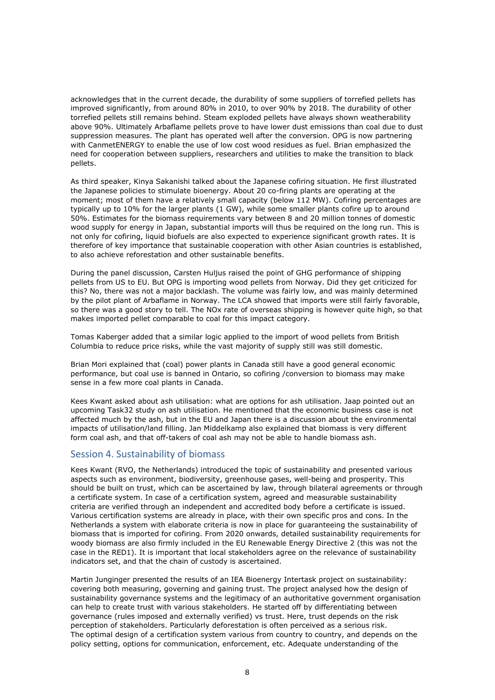acknowledges that in the current decade, the durability of some suppliers of torrefied pellets has improved significantly, from around 80% in 2010, to over 90% by 2018. The durability of other torrefied pellets still remains behind. Steam exploded pellets have always shown weatherability above 90%. Ultimately Arbaflame pellets prove to have lower dust emissions than coal due to dust suppression measures. The plant has operated well after the conversion. OPG is now partnering with CanmetENERGY to enable the use of low cost wood residues as fuel. Brian emphasized the need for cooperation between suppliers, researchers and utilities to make the transition to black pellets.

As third speaker, Kinya Sakanishi talked about the Japanese cofiring situation. He first illustrated the Japanese policies to stimulate bioenergy. About 20 co-firing plants are operating at the moment; most of them have a relatively small capacity (below 112 MW). Cofiring percentages are typically up to 10% for the larger plants (1 GW), while some smaller plants cofire up to around 50%. Estimates for the biomass requirements vary between 8 and 20 million tonnes of domestic wood supply for energy in Japan, substantial imports will thus be required on the long run. This is not only for cofiring, liquid biofuels are also expected to experience significant growth rates. It is therefore of key importance that sustainable cooperation with other Asian countries is established, to also achieve reforestation and other sustainable benefits.

During the panel discussion, Carsten Huljus raised the point of GHG performance of shipping pellets from US to EU. But OPG is importing wood pellets from Norway. Did they get criticized for this? No, there was not a major backlash. The volume was fairly low, and was mainly determined by the pilot plant of Arbaflame in Norway. The LCA showed that imports were still fairly favorable, so there was a good story to tell. The NOx rate of overseas shipping is however quite high, so that makes imported pellet comparable to coal for this impact category.

Tomas Kaberger added that a similar logic applied to the import of wood pellets from British Columbia to reduce price risks, while the vast majority of supply still was still domestic.

Brian Mori explained that (coal) power plants in Canada still have a good general economic performance, but coal use is banned in Ontario, so cofiring /conversion to biomass may make sense in a few more coal plants in Canada.

Kees Kwant asked about ash utilisation: what are options for ash utilisation. Jaap pointed out an upcoming Task32 study on ash utilisation. He mentioned that the economic business case is not affected much by the ash, but in the EU and Japan there is a discussion about the environmental impacts of utilisation/land filling. Jan Middelkamp also explained that biomass is very different form coal ash, and that off-takers of coal ash may not be able to handle biomass ash.

#### <span id="page-7-0"></span>Session 4. Sustainability of biomass

Kees Kwant (RVO, the Netherlands) introduced the topic of sustainability and presented various aspects such as environment, biodiversity, greenhouse gases, well-being and prosperity. This should be built on trust, which can be ascertained by law, through bilateral agreements or through a certificate system. In case of a certification system, agreed and measurable sustainability criteria are verified through an independent and accredited body before a certificate is issued. Various certification systems are already in place, with their own specific pros and cons. In the Netherlands a system with elaborate criteria is now in place for guaranteeing the sustainability of biomass that is imported for cofiring. From 2020 onwards, detailed sustainability requirements for woody biomass are also firmly included in the EU Renewable Energy Directive 2 (this was not the case in the RED1). It is important that local stakeholders agree on the relevance of sustainability indicators set, and that the chain of custody is ascertained.

Martin Junginger presented the results of an IEA Bioenergy Intertask project on sustainability: covering both measuring, governing and gaining trust. The project analysed how the design of sustainability governance systems and the legitimacy of an authoritative government organisation can help to create trust with various stakeholders. He started off by differentiating between governance (rules imposed and externally verified) vs trust. Here, trust depends on the risk perception of stakeholders. Particularly deforestation is often perceived as a serious risk. The optimal design of a certification system various from country to country, and depends on the policy setting, options for communication, enforcement, etc. Adequate understanding of the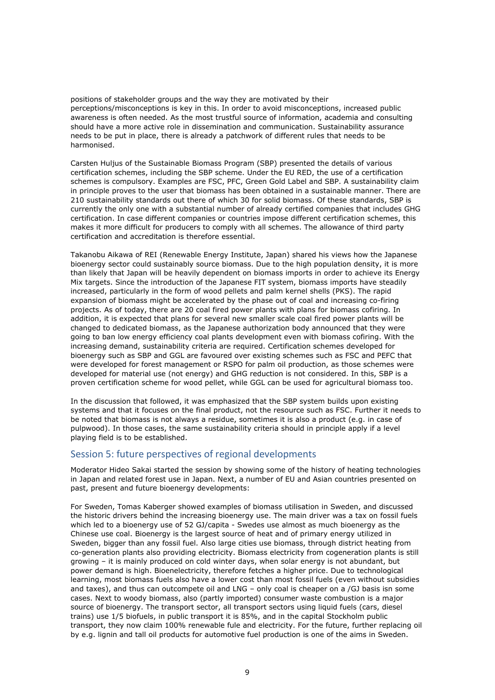positions of stakeholder groups and the way they are motivated by their perceptions/misconceptions is key in this. In order to avoid misconceptions, increased public awareness is often needed. As the most trustful source of information, academia and consulting should have a more active role in dissemination and communication. Sustainability assurance needs to be put in place, there is already a patchwork of different rules that needs to be harmonised.

Carsten Huljus of the Sustainable Biomass Program (SBP) presented the details of various certification schemes, including the SBP scheme. Under the EU RED, the use of a certification schemes is compulsory. Examples are FSC, PFC, Green Gold Label and SBP. A sustainability claim in principle proves to the user that biomass has been obtained in a sustainable manner. There are 210 sustainability standards out there of which 30 for solid biomass. Of these standards, SBP is currently the only one with a substantial number of already certified companies that includes GHG certification. In case different companies or countries impose different certification schemes, this makes it more difficult for producers to comply with all schemes. The allowance of third party certification and accreditation is therefore essential.

Takanobu Aikawa of REI (Renewable Energy Institute, Japan) shared his views how the Japanese bioenergy sector could sustainably source biomass. Due to the high population density, it is more than likely that Japan will be heavily dependent on biomass imports in order to achieve its Energy Mix targets. Since the introduction of the Japanese FIT system, biomass imports have steadily increased, particularly in the form of wood pellets and palm kernel shells (PKS). The rapid expansion of biomass might be accelerated by the phase out of coal and increasing co-firing projects. As of today, there are 20 coal fired power plants with plans for biomass cofiring. In addition, it is expected that plans for several new smaller scale coal fired power plants will be changed to dedicated biomass, as the Japanese authorization body announced that they were going to ban low energy efficiency coal plants development even with biomass cofiring. With the increasing demand, sustainability criteria are required. Certification schemes developed for bioenergy such as SBP and GGL are favoured over existing schemes such as FSC and PEFC that were developed for forest management or RSPO for palm oil production, as those schemes were developed for material use (not energy) and GHG reduction is not considered. In this, SBP is a proven certification scheme for wood pellet, while GGL can be used for agricultural biomass too.

In the discussion that followed, it was emphasized that the SBP system builds upon existing systems and that it focuses on the final product, not the resource such as FSC. Further it needs to be noted that biomass is not always a residue, sometimes it is also a product (e.g. in case of pulpwood). In those cases, the same sustainability criteria should in principle apply if a level playing field is to be established.

#### <span id="page-8-0"></span>Session 5: future perspectives of regional developments

Moderator Hideo Sakai started the session by showing some of the history of heating technologies in Japan and related forest use in Japan. Next, a number of EU and Asian countries presented on past, present and future bioenergy developments:

For Sweden, Tomas Kaberger showed examples of biomass utilisation in Sweden, and discussed the historic drivers behind the increasing bioenergy use. The main driver was a tax on fossil fuels which led to a bioenergy use of 52 GJ/capita - Swedes use almost as much bioenergy as the Chinese use coal. Bioenergy is the largest source of heat and of primary energy utilized in Sweden, bigger than any fossil fuel. Also large cities use biomass, through district heating from co-generation plants also providing electricity. Biomass electricity from cogeneration plants is still growing – it is mainly produced on cold winter days, when solar energy is not abundant, but power demand is high. Bioenelectricity, therefore fetches a higher price. Due to technological learning, most biomass fuels also have a lower cost than most fossil fuels (even without subsidies and taxes), and thus can outcompete oil and LNG – only coal is cheaper on a /GJ basis isn some cases. Next to woody biomass, also (partly imported) consumer waste combustion is a major source of bioenergy. The transport sector, all transport sectors using liquid fuels (cars, diesel trains) use 1/5 biofuels, in public transport it is 85%, and in the capital Stockholm public transport, they now claim 100% renewable fule and electricity. For the future, further replacing oil by e.g. lignin and tall oil products for automotive fuel production is one of the aims in Sweden.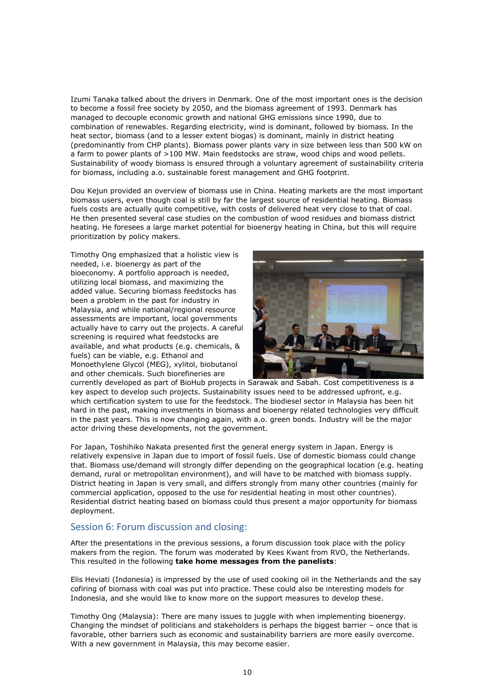Izumi Tanaka talked about the drivers in Denmark. One of the most important ones is the decision to become a fossil free society by 2050, and the biomass agreement of 1993. Denmark has managed to decouple economic growth and national GHG emissions since 1990, due to combination of renewables. Regarding electricity, wind is dominant, followed by biomass. In the heat sector, biomass (and to a lesser extent biogas) is dominant, mainly in district heating (predominantly from CHP plants). Biomass power plants vary in size between less than 500 kW on a farm to power plants of >100 MW. Main feedstocks are straw, wood chips and wood pellets. Sustainability of woody biomass is ensured through a voluntary agreement of sustainability criteria for biomass, including a.o. sustainable forest management and GHG footprint.

Dou Kejun provided an overview of biomass use in China. Heating markets are the most important biomass users, even though coal is still by far the largest source of residential heating. Biomass fuels costs are actually quite competitive, with costs of delivered heat very close to that of coal. He then presented several case studies on the combustion of wood residues and biomass district heating. He foresees a large market potential for bioenergy heating in China, but this will require prioritization by policy makers.

Timothy Ong emphasized that a holistic view is needed, i.e. bioenergy as part of the bioeconomy. A portfolio approach is needed, utilizing local biomass, and maximizing the added value. Securing biomass feedstocks has been a problem in the past for industry in Malaysia, and while national/regional resource assessments are important, local governments actually have to carry out the projects. A careful screening is required what feedstocks are available, and what products (e.g. chemicals, & fuels) can be viable, e.g. Ethanol and Monoethylene Glycol (MEG), xylitol, biobutanol and other chemicals. Such biorefineries are



currently developed as part of BioHub projects in Sarawak and Sabah. Cost competitiveness is a key aspect to develop such projects. Sustainability issues need to be addressed upfront, e.g. which certification system to use for the feedstock. The biodiesel sector in Malaysia has been hit hard in the past, making investments in biomass and bioenergy related technologies very difficult in the past years. This is now changing again, with a.o. green bonds. Industry will be the major actor driving these developments, not the government.

For Japan, Toshihiko Nakata presented first the general energy system in Japan. Energy is relatively expensive in Japan due to import of fossil fuels. Use of domestic biomass could change that. Biomass use/demand will strongly differ depending on the geographical location (e.g. heating demand, rural or metropolitan environment), and will have to be matched with biomass supply. District heating in Japan is very small, and differs strongly from many other countries (mainly for commercial application, opposed to the use for residential heating in most other countries). Residential district heating based on biomass could thus present a major opportunity for biomass deployment.

#### <span id="page-9-0"></span>Session 6: Forum discussion and closing:

After the presentations in the previous sessions, a forum discussion took place with the policy makers from the region. The forum was moderated by Kees Kwant from RVO, the Netherlands. This resulted in the following **take home messages from the panelists**:

Elis Heviati (Indonesia) is impressed by the use of used cooking oil in the Netherlands and the say cofiring of biomass with coal was put into practice. These could also be interesting models for Indonesia, and she would like to know more on the support measures to develop these.

Timothy Ong (Malaysia): There are many issues to juggle with when implementing bioenergy. Changing the mindset of politicians and stakeholders is perhaps the biggest barrier – once that is favorable, other barriers such as economic and sustainability barriers are more easily overcome. With a new government in Malaysia, this may become easier.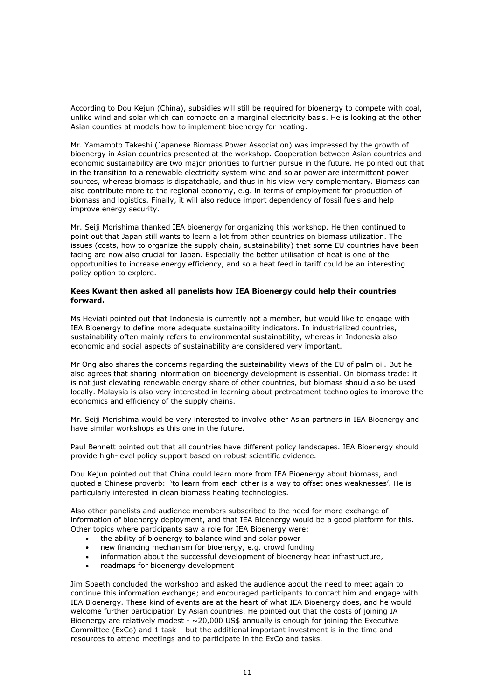According to Dou Kejun (China), subsidies will still be required for bioenergy to compete with coal, unlike wind and solar which can compete on a marginal electricity basis. He is looking at the other Asian counties at models how to implement bioenergy for heating.

Mr. Yamamoto Takeshi (Japanese Biomass Power Association) was impressed by the growth of bioenergy in Asian countries presented at the workshop. Cooperation between Asian countries and economic sustainability are two major priorities to further pursue in the future. He pointed out that in the transition to a renewable electricity system wind and solar power are intermittent power sources, whereas biomass is dispatchable, and thus in his view very complementary. Biomass can also contribute more to the regional economy, e.g. in terms of employment for production of biomass and logistics. Finally, it will also reduce import dependency of fossil fuels and help improve energy security.

Mr. Seiji Morishima thanked IEA bioenergy for organizing this workshop. He then continued to point out that Japan still wants to learn a lot from other countries on biomass utilization. The issues (costs, how to organize the supply chain, sustainability) that some EU countries have been facing are now also crucial for Japan. Especially the better utilisation of heat is one of the opportunities to increase energy efficiency, and so a heat feed in tariff could be an interesting policy option to explore.

#### **Kees Kwant then asked all panelists how IEA Bioenergy could help their countries forward.**

Ms Heviati pointed out that Indonesia is currently not a member, but would like to engage with IEA Bioenergy to define more adequate sustainability indicators. In industrialized countries, sustainability often mainly refers to environmental sustainability, whereas in Indonesia also economic and social aspects of sustainability are considered very important.

Mr Ong also shares the concerns regarding the sustainability views of the EU of palm oil. But he also agrees that sharing information on bioenergy development is essential. On biomass trade: it is not just elevating renewable energy share of other countries, but biomass should also be used locally. Malaysia is also very interested in learning about pretreatment technologies to improve the economics and efficiency of the supply chains.

Mr. Seiji Morishima would be very interested to involve other Asian partners in IEA Bioenergy and have similar workshops as this one in the future.

Paul Bennett pointed out that all countries have different policy landscapes. IEA Bioenergy should provide high-level policy support based on robust scientific evidence.

Dou Kejun pointed out that China could learn more from IEA Bioenergy about biomass, and quoted a Chinese proverb: 'to learn from each other is a way to offset ones weaknesses'. He is particularly interested in clean biomass heating technologies.

Also other panelists and audience members subscribed to the need for more exchange of information of bioenergy deployment, and that IEA Bioenergy would be a good platform for this. Other topics where participants saw a role for IEA Bioenergy were:

- the ability of bioenergy to balance wind and solar power
- new financing mechanism for bioenergy, e.g. crowd funding
- information about the successful development of bioenergy heat infrastructure,
- roadmaps for bioenergy development

Jim Spaeth concluded the workshop and asked the audience about the need to meet again to continue this information exchange; and encouraged participants to contact him and engage with IEA Bioenergy. These kind of events are at the heart of what IEA Bioenergy does, and he would welcome further participation by Asian countries. He pointed out that the costs of joining IA Bioenergy are relatively modest -  $\sim$  20,000 US\$ annually is enough for joining the Executive Committee (ExCo) and 1 task – but the additional important investment is in the time and resources to attend meetings and to participate in the ExCo and tasks.